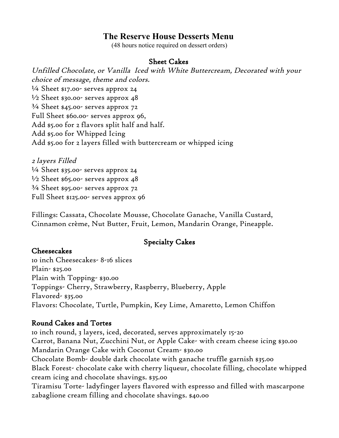# **The Reserve House Desserts Menu**

(48 hours notice required on dessert orders)

#### Sheet Cakes

Unfilled Chocolate, or Vanilla Iced with White Buttercream, Decorated with your choice of message, theme and colors.  $\frac{1}{4}$  Sheet \$17.00- serves approx 24  $\frac{1}{2}$  Sheet \$30.00- serves approx 48  $\frac{3}{4}$  Sheet \$45.00- serves approx 72 Full Sheet \$60.00- serves approx 96, Add \$5.00 for 2 flavors split half and half. Add \$5.00 for Whipped Icing Add \$5.00 for 2 layers filled with buttercream or whipped icing

2 layers Filled  $\frac{1}{4}$  Sheet \$35.00- serves approx 24  $\frac{1}{2}$  Sheet \$65.00- serves approx 48 ¾ Sheet \$95.00- serves approx 72 Full Sheet \$125.00- serves approx 96

Fillings: Cassata, Chocolate Mousse, Chocolate Ganache, Vanilla Custard, Cinnamon crème, Nut Butter, Fruit, Lemon, Mandarin Orange, Pineapple.

### Specialty Cakes

#### Cheesecakes

10 inch Cheesecakes- 8-16 slices Plain- \$25.00 Plain with Topping- \$30.00 Toppings- Cherry, Strawberry, Raspberry, Blueberry, Apple Flavored- \$35.00 Flavors: Chocolate, Turtle, Pumpkin, Key Lime, Amaretto, Lemon Chiffon

### Round Cakes and Tortes

10 inch round, 3 layers, iced, decorated, serves approximately 15-20 Carrot, Banana Nut, Zucchini Nut, or Apple Cake- with cream cheese icing \$30.00 Mandarin Orange Cake with Coconut Cream- \$30.00 Chocolate Bomb- double dark chocolate with ganache truffle garnish \$35.00 Black Forest- chocolate cake with cherry liqueur, chocolate filling, chocolate whipped cream icing and chocolate shavings. \$35.00 Tiramisu Torte- ladyfinger layers flavored with espresso and filled with mascarpone zabaglione cream filling and chocolate shavings. \$40.00